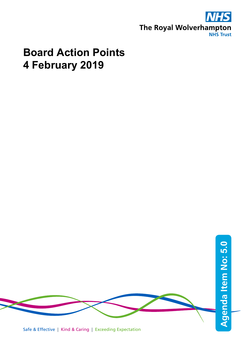

## **Board Action Points 4 February 2019**

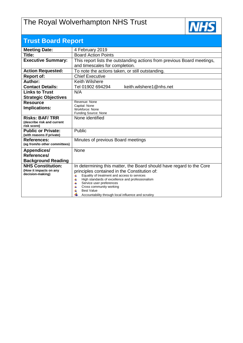## The Royal Wolverhampton NHS Trust



| <b>Trust Board Report</b>                           |                                                                                                       |  |  |  |  |  |
|-----------------------------------------------------|-------------------------------------------------------------------------------------------------------|--|--|--|--|--|
| <b>Meeting Date:</b>                                | 4 February 2019                                                                                       |  |  |  |  |  |
| Title:                                              | <b>Board Action Points</b>                                                                            |  |  |  |  |  |
| <b>Executive Summary:</b>                           | This report lists the outstanding actions from previous Board meetings,                               |  |  |  |  |  |
|                                                     | and timescales for completion.                                                                        |  |  |  |  |  |
| <b>Action Requested:</b>                            | To note the actions taken, or still outstanding.                                                      |  |  |  |  |  |
| <b>Report of:</b>                                   | <b>Chief Executive</b>                                                                                |  |  |  |  |  |
| Author:                                             | <b>Keith Wilshere</b>                                                                                 |  |  |  |  |  |
| <b>Contact Details:</b>                             | keith.wilshere1@nhs.net<br>Tel 01902 694294                                                           |  |  |  |  |  |
| <b>Links to Trust</b>                               | N/A                                                                                                   |  |  |  |  |  |
| <b>Strategic Objectives</b>                         |                                                                                                       |  |  |  |  |  |
| <b>Resource</b>                                     | Revenue: None<br>Capital: None<br>Workforce: None                                                     |  |  |  |  |  |
| Implications:                                       |                                                                                                       |  |  |  |  |  |
|                                                     | Funding Source: None                                                                                  |  |  |  |  |  |
| <b>Risks: BAF/TRR</b><br>(describe risk and current | None identified                                                                                       |  |  |  |  |  |
| risk score)                                         |                                                                                                       |  |  |  |  |  |
| <b>Public or Private:</b>                           | Public                                                                                                |  |  |  |  |  |
| (with reasons if private)                           |                                                                                                       |  |  |  |  |  |
| <b>References:</b>                                  | Minutes of previous Board meetings                                                                    |  |  |  |  |  |
| (eg from/to other committees)                       |                                                                                                       |  |  |  |  |  |
| <b>Appendices/</b>                                  | None                                                                                                  |  |  |  |  |  |
| References/                                         |                                                                                                       |  |  |  |  |  |
| <b>Background Reading</b>                           |                                                                                                       |  |  |  |  |  |
| <b>NHS Constitution:</b><br>(How it impacts on any  | In determining this matter, the Board should have regard to the Core                                  |  |  |  |  |  |
| decision-making)                                    | principles contained in the Constitution of:<br>4                                                     |  |  |  |  |  |
|                                                     | Equality of treatment and access to services<br>4<br>High standards of excellence and professionalism |  |  |  |  |  |
|                                                     | Service user preferences                                                                              |  |  |  |  |  |
|                                                     | Cross community working<br>4<br><b>Best Value</b>                                                     |  |  |  |  |  |
|                                                     | Accountability through local influence and scrutiny                                                   |  |  |  |  |  |